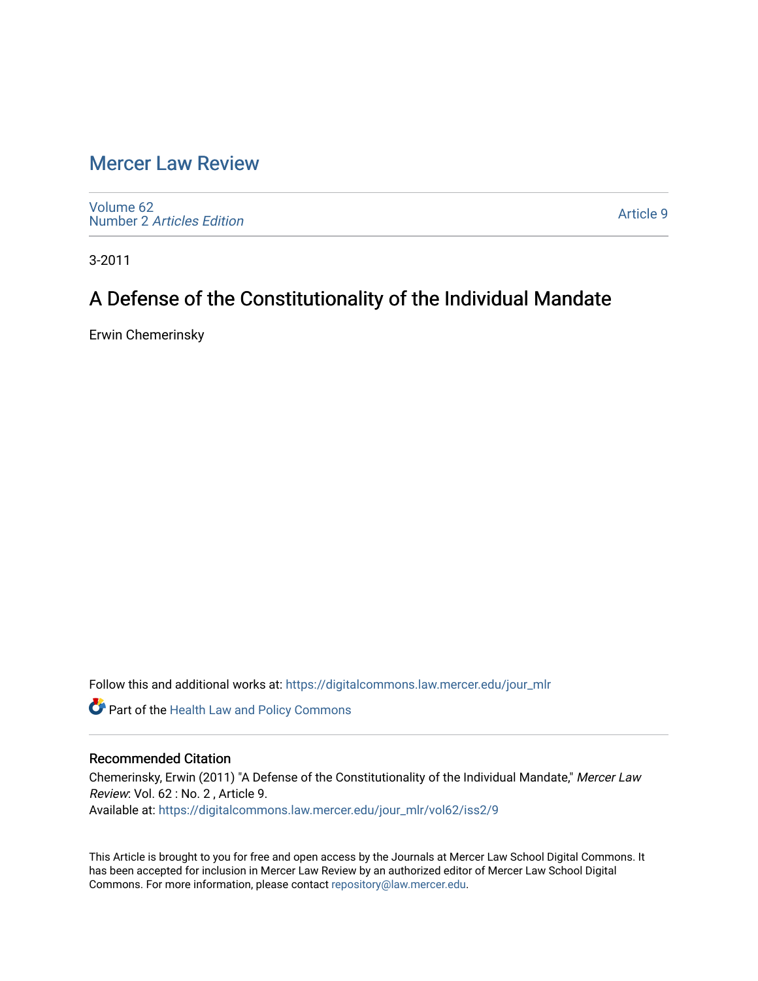## [Mercer Law Review](https://digitalcommons.law.mercer.edu/jour_mlr)

[Volume 62](https://digitalcommons.law.mercer.edu/jour_mlr/vol62) Number 2 [Articles Edition](https://digitalcommons.law.mercer.edu/jour_mlr/vol62/iss2) 

[Article 9](https://digitalcommons.law.mercer.edu/jour_mlr/vol62/iss2/9) 

3-2011

# A Defense of the Constitutionality of the Individual Mandate

Erwin Chemerinsky

Follow this and additional works at: [https://digitalcommons.law.mercer.edu/jour\\_mlr](https://digitalcommons.law.mercer.edu/jour_mlr?utm_source=digitalcommons.law.mercer.edu%2Fjour_mlr%2Fvol62%2Fiss2%2F9&utm_medium=PDF&utm_campaign=PDFCoverPages)

**Part of the Health Law and Policy Commons** 

### Recommended Citation

Chemerinsky, Erwin (2011) "A Defense of the Constitutionality of the Individual Mandate," Mercer Law Review: Vol. 62 : No. 2 , Article 9. Available at: [https://digitalcommons.law.mercer.edu/jour\\_mlr/vol62/iss2/9](https://digitalcommons.law.mercer.edu/jour_mlr/vol62/iss2/9?utm_source=digitalcommons.law.mercer.edu%2Fjour_mlr%2Fvol62%2Fiss2%2F9&utm_medium=PDF&utm_campaign=PDFCoverPages)

This Article is brought to you for free and open access by the Journals at Mercer Law School Digital Commons. It has been accepted for inclusion in Mercer Law Review by an authorized editor of Mercer Law School Digital Commons. For more information, please contact [repository@law.mercer.edu.](mailto:repository@law.mercer.edu)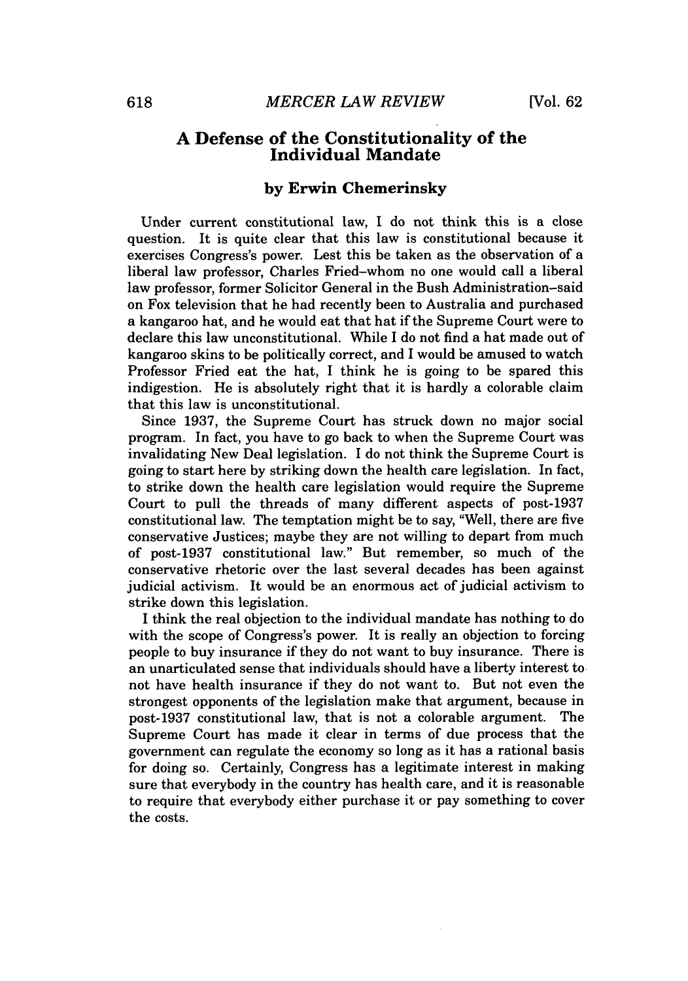#### **A Defense of the Constitutionality of the Individual Mandate**

#### **by Erwin Chemerinsky**

Under current constitutional law, I do not think this is a close question. It is quite clear that this law is constitutional because it exercises Congress's power. Lest this be taken as the observation of a liberal law professor, Charles Fried-whom no one would call a liberal law professor, former Solicitor General in the Bush Administration-said on Fox television that he had recently been to Australia and purchased a kangaroo hat, and he would eat that hat if the Supreme Court were to declare this law unconstitutional. While I do not find a hat made out of kangaroo skins to be politically correct, and I would be amused to watch Professor Fried eat the hat, I think he is going to be spared this indigestion. He is absolutely right that it is hardly a colorable claim that this law is unconstitutional.

Since **1937,** the Supreme Court has struck down no major social program. In fact, you have to go back to when the Supreme Court was invalidating New Deal legislation. I do not think the Supreme Court is going to start here **by** striking down the health care legislation. In fact, to strike down the health care legislation would require the Supreme Court to pull the threads of many different aspects of post-1937 constitutional law. The temptation might be to say, "Well, there are five conservative Justices; maybe they are not willing to depart from much of post-1937 constitutional law." But remember, so much of the conservative rhetoric over the last several decades has been against judicial activism. It would be an enormous act of judicial activism to strike down this legislation.

**I** think the real objection to the individual mandate has nothing to do with the scope of Congress's power. It is really an objection to forcing people to buy insurance if they do not want to buy insurance. There is an unarticulated sense that individuals should have a liberty interest to not have health insurance if they do not want to. But not even the strongest opponents of the legislation make that argument, because in post-1937 constitutional law, that is not a colorable argument. The Supreme Court has made it clear in terms of due process that the government can regulate the economy so long as it has a rational basis for doing so. Certainly, Congress has a legitimate interest in making sure that everybody in the country has health care, and it is reasonable to require that everybody either purchase it or pay something to cover the costs.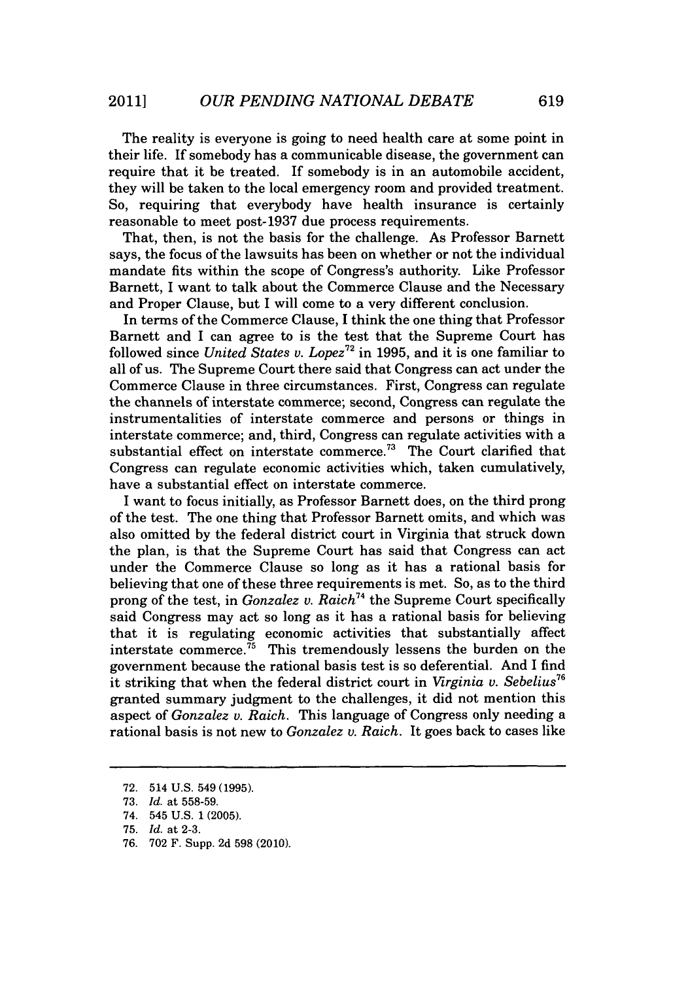The reality is everyone is going to need health care at some point in their life. **If** somebody has a communicable disease, the government can require that it be treated. If somebody is in an automobile accident, they will be taken to the local emergency room and provided treatment. So, requiring that everybody have health insurance is certainly reasonable to meet post-1937 due process requirements.

That, then, is not the basis for the challenge. As Professor Barnett says, the focus of the lawsuits has been on whether or not the individual mandate fits within the scope of Congress's authority. Like Professor Barnett, I want to talk about the Commerce Clause and the Necessary and Proper Clause, but I will come to a very different conclusion.

In terms of the Commerce Clause, I think the one thing that Professor Barnett and I can agree to is the test that the Supreme Court has followed since *United States v. Lopez*<sup>72</sup> in 1995, and it is one familiar to all of us. The Supreme Court there said that Congress can act under the Commerce Clause in three circumstances. First, Congress can regulate the channels of interstate commerce; second, Congress can regulate the instrumentalities of interstate commerce and persons or things in interstate commerce; and, third, Congress can regulate activities with a substantial effect on interstate commerce.<sup>73</sup> The Court clarified that Congress can regulate economic activities which, taken cumulatively, have a substantial effect on interstate commerce.

I want to focus initially, as Professor Barnett does, on the third prong of the test. The one thing that Professor Barnett omits, and which was also omitted **by** the federal district court in Virginia that struck down the plan, is that the Supreme Court has said that Congress can act under the Commerce Clause so long as it has a rational basis for believing that one of these three requirements is met. So, as to the third prong of the test, in *Gonzalez v. Raich*<sup>74</sup> the Supreme Court specifically said Congress may act so long as it has a rational basis for believing that it is regulating economic activities that substantially affect interstate commerce.<sup>75</sup> This tremendously lessens the burden on the government because the rational basis test is so deferential. And I find it striking that when the federal district court in *Virginia v. Sebelius <sup>6</sup>* granted summary judgment to the challenges, it did not mention this aspect of *Gonzalez v. Raich.* This language of Congress only needing a rational basis is not new to *Gonzalez v. Raich.* It goes back to cases like

**76. 702** F. Supp. **2d 598** (2010).

**<sup>72.</sup>** 514 **U.S.** 549 **(1995).**

**<sup>73.</sup>** *Id.* at **558-59.**

<sup>74. 545</sup> **U.S. 1 (2005).**

**<sup>75.</sup>** *Id.* at **2-3.**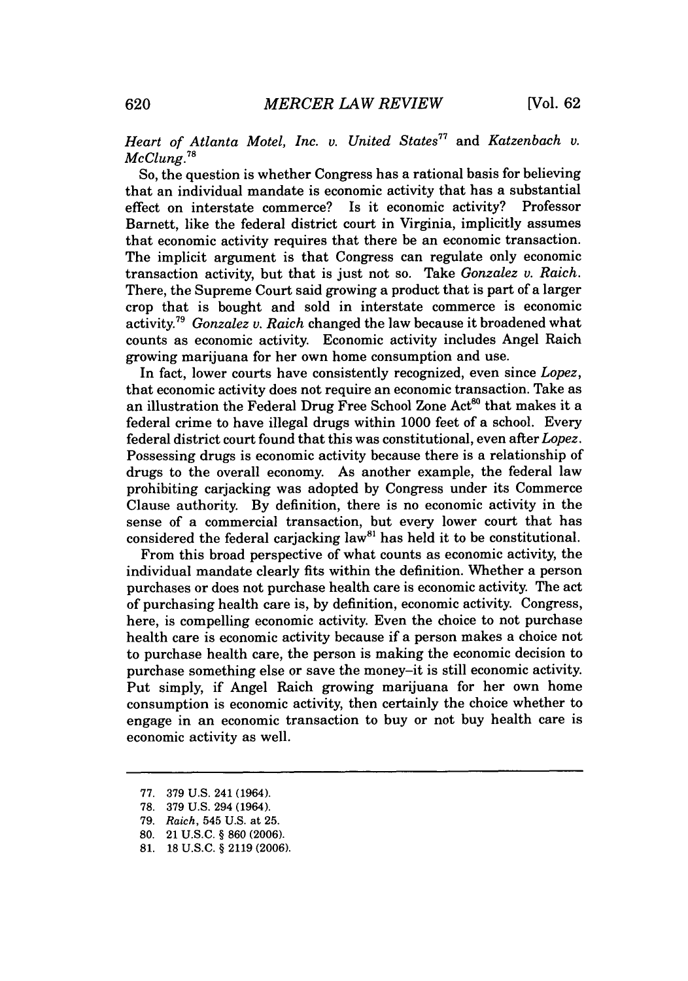## *Heart of Atlanta Motel, Inc. v. United States" and Katzenbach v. McClung."*

So, the question is whether Congress has a rational basis for believing that an individual mandate is economic activity that has a substantial effect on interstate commerce? Is it economic activity? Professor Barnett, like the federal district court in Virginia, implicitly assumes that economic activity requires that there be an economic transaction. The implicit argument is that Congress can regulate only economic transaction activity, but that is just not so. Take *Gonzalez v. Raich.* There, the Supreme Court said growing a product that is part of a larger crop that is bought and sold in interstate commerce is economic activity." *Gonzalez v. Raich* changed the law because it broadened what counts as economic activity. Economic activity includes Angel Raich growing marijuana for her own home consumption and use.

In fact, lower courts have consistently recognized, even since *Lopez,* that economic activity does not require an economic transaction. Take as an illustration the Federal Drug Free School Zone Act<sup>80</sup> that makes it a federal crime to have illegal drugs within **1000** feet of a school. Every federal district court found that this was constitutional, even after *Lopez.* Possessing drugs is economic activity because there is a relationship of drugs to the overall economy. As another example, the federal law prohibiting carjacking was adopted **by** Congress under its Commerce Clause authority. **By** definition, there is no economic activity in the sense of a commercial transaction, but every lower court that has considered the federal carjacking law<sup>81</sup> has held it to be constitutional.

From this broad perspective of what counts as economic activity, the individual mandate clearly fits within the definition. Whether a person purchases or does not purchase health care is economic activity. The act of purchasing health care is, **by** definition, economic activity. Congress, here, is compelling economic activity. Even the choice to not purchase health care is economic activity because if a person makes a choice not to purchase health care, the person is making the economic decision to purchase something else or save the money-it is still economic activity. Put simply, if Angel Raich growing marijuana for her own home consumption is economic activity, then certainly the choice whether to engage in an economic transaction to buy or not buy health care is economic activity as well.

**<sup>77. 379</sup> U.S.** 241 (1964).

**<sup>78. 379</sup> U.S.** 294 (1964).

**<sup>79.</sup>** *Raich,* 545 **U.S.** at **25.**

**<sup>80.</sup>** 21 **U.S.C.** *§* **860 (2006).**

**<sup>81. 18</sup> U.S.C.** *§* **2119 (2006).**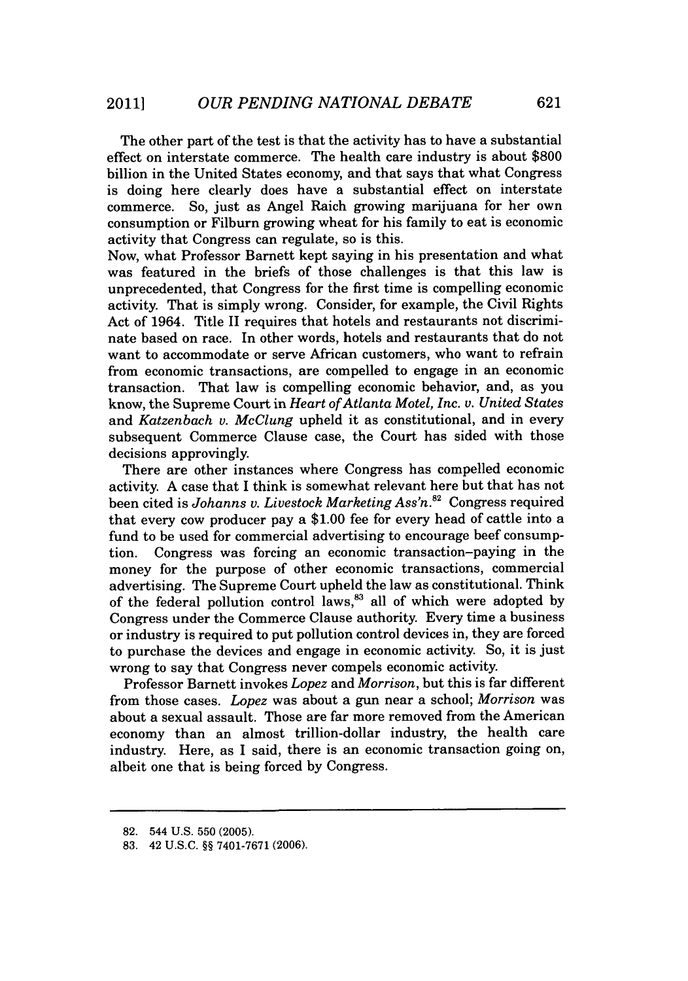The other part of the test is that the activity has to have a substantial effect on interstate commerce. The health care industry is about **\$800** billion in the United States economy, and that says that what Congress is doing here clearly does have a substantial effect on interstate commerce. So, just as Angel Raich growing marijuana for her own consumption or Filburn growing wheat for his family to eat is economic activity that Congress can regulate, so is this.

Now, what Professor Barnett kept saying in his presentation and what was featured in the briefs of those challenges is that this law is unprecedented, that Congress for the first time is compelling economic activity. That is simply wrong. Consider, for example, the Civil Rights Act of 1964. Title II requires that hotels and restaurants not discriminate based on race. In other words, hotels and restaurants that do not want to accommodate or serve African customers, who want to refrain from economic transactions, are compelled to engage in an economic transaction. That law is compelling economic behavior, and, as you know, the Supreme Court in *Heart of Atlanta Motel, Inc. v. United States* and *Katzenbach v. McClung* upheld it as constitutional, and in every subsequent Commerce Clause case, the Court has sided with those decisions approvingly.

There are other instances where Congress has compelled economic activity **A** case that **I** think is somewhat relevant here but that has not been cited is *Johanns v. Livestock Marketing Ass'n."* Congress required that every cow producer pay a **\$1.00** fee for every head of cattle into a fund to be used for commercial advertising to encourage beef consumption. Congress was forcing an economic transaction-paying in the money for the purpose of other economic transactions, commercial advertising. The Supreme Court upheld the law as constitutional. Think of the federal pollution control laws," all of which were adopted **by** Congress under the Commerce Clause authority. Every time a business or industry is required to put pollution control devices in, they are forced to purchase the devices and engage in economic activity. So, it is just wrong to say that Congress never compels economic activity.

Professor Barnett invokes *Lopez and Morrison,* but this is far different from those cases. *Lopez* was about a gun near a school; *Morrison* was about a sexual assault. Those are far more removed from the American economy than an almost trillion-dollar industry, the health care industry. Here, as **I** said, there is an economic transaction going on, albeit one that is being forced **by** Congress.

**<sup>82.</sup>** 544 **U.S. 550 (2005).**

**<sup>83.</sup>** 42 **U.S.C.** *H§* **7401-7671 (2006).**